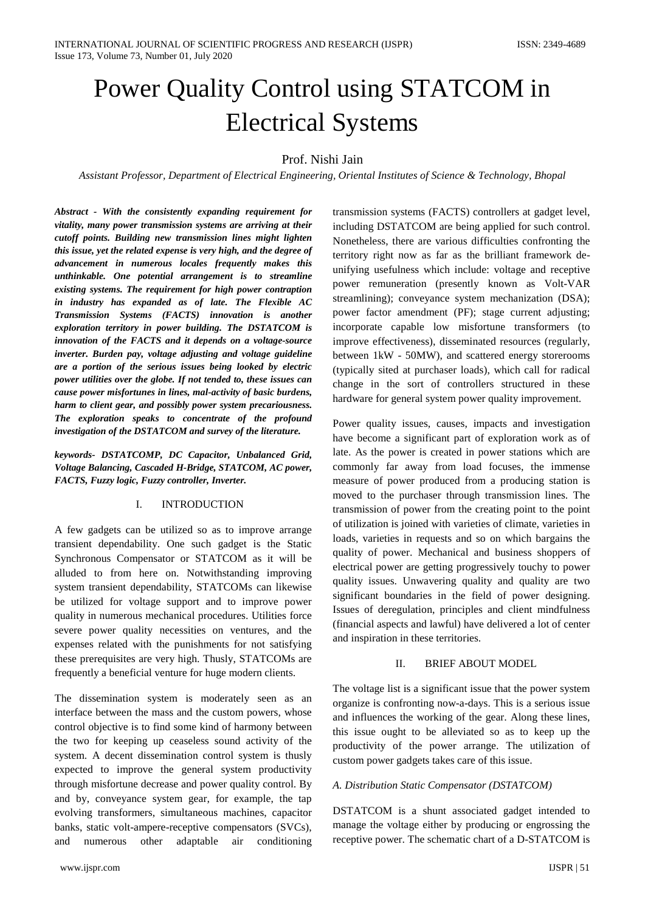# Power Quality Control using STATCOM in Electrical Systems

## Prof. Nishi Jain

*Assistant Professor, Department of Electrical Engineering, Oriental Institutes of Science & Technology, Bhopal*

*Abstract - With the consistently expanding requirement for vitality, many power transmission systems are arriving at their cutoff points. Building new transmission lines might lighten this issue, yet the related expense is very high, and the degree of advancement in numerous locales frequently makes this unthinkable. One potential arrangement is to streamline existing systems. The requirement for high power contraption in industry has expanded as of late. The Flexible AC Transmission Systems (FACTS) innovation is another exploration territory in power building. The DSTATCOM is innovation of the FACTS and it depends on a voltage-source inverter. Burden pay, voltage adjusting and voltage guideline are a portion of the serious issues being looked by electric power utilities over the globe. If not tended to, these issues can cause power misfortunes in lines, mal-activity of basic burdens, harm to client gear, and possibly power system precariousness. The exploration speaks to concentrate of the profound investigation of the DSTATCOM and survey of the literature.*

*keywords- DSTATCOMP, DC Capacitor, Unbalanced Grid, Voltage Balancing, Cascaded H-Bridge, STATCOM, AC power, FACTS, Fuzzy logic, Fuzzy controller, Inverter.*

## I. INTRODUCTION

A few gadgets can be utilized so as to improve arrange transient dependability. One such gadget is the Static Synchronous Compensator or STATCOM as it will be alluded to from here on. Notwithstanding improving system transient dependability, STATCOMs can likewise be utilized for voltage support and to improve power quality in numerous mechanical procedures. Utilities force severe power quality necessities on ventures, and the expenses related with the punishments for not satisfying these prerequisites are very high. Thusly, STATCOMs are frequently a beneficial venture for huge modern clients.

The dissemination system is moderately seen as an interface between the mass and the custom powers, whose control objective is to find some kind of harmony between the two for keeping up ceaseless sound activity of the system. A decent dissemination control system is thusly expected to improve the general system productivity through misfortune decrease and power quality control. By and by, conveyance system gear, for example, the tap evolving transformers, simultaneous machines, capacitor banks, static volt-ampere-receptive compensators (SVCs), and numerous other adaptable air conditioning

transmission systems (FACTS) controllers at gadget level, including DSTATCOM are being applied for such control. Nonetheless, there are various difficulties confronting the territory right now as far as the brilliant framework deunifying usefulness which include: voltage and receptive power remuneration (presently known as Volt-VAR streamlining); conveyance system mechanization (DSA); power factor amendment (PF); stage current adjusting; incorporate capable low misfortune transformers (to improve effectiveness), disseminated resources (regularly, between 1kW - 50MW), and scattered energy storerooms (typically sited at purchaser loads), which call for radical change in the sort of controllers structured in these hardware for general system power quality improvement.

Power quality issues, causes, impacts and investigation have become a significant part of exploration work as of late. As the power is created in power stations which are commonly far away from load focuses, the immense measure of power produced from a producing station is moved to the purchaser through transmission lines. The transmission of power from the creating point to the point of utilization is joined with varieties of climate, varieties in loads, varieties in requests and so on which bargains the quality of power. Mechanical and business shoppers of electrical power are getting progressively touchy to power quality issues. Unwavering quality and quality are two significant boundaries in the field of power designing. Issues of deregulation, principles and client mindfulness (financial aspects and lawful) have delivered a lot of center and inspiration in these territories.

## II. BRIEF ABOUT MODEL

The voltage list is a significant issue that the power system organize is confronting now-a-days. This is a serious issue and influences the working of the gear. Along these lines, this issue ought to be alleviated so as to keep up the productivity of the power arrange. The utilization of custom power gadgets takes care of this issue.

## *A. Distribution Static Compensator (DSTATCOM)*

DSTATCOM is a shunt associated gadget intended to manage the voltage either by producing or engrossing the receptive power. The schematic chart of a D-STATCOM is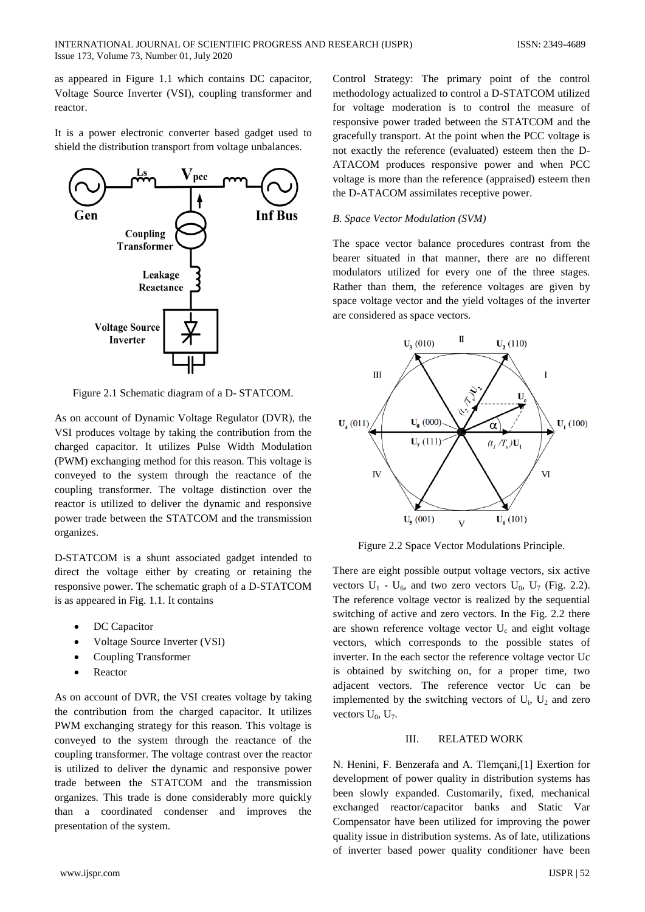as appeared in Figure 1.1 which contains DC capacitor, Voltage Source Inverter (VSI), coupling transformer and reactor.

It is a power electronic converter based gadget used to shield the distribution transport from voltage unbalances.



Figure 2.1 Schematic diagram of a D- STATCOM.

As on account of Dynamic Voltage Regulator (DVR), the VSI produces voltage by taking the contribution from the charged capacitor. It utilizes Pulse Width Modulation (PWM) exchanging method for this reason. This voltage is conveyed to the system through the reactance of the coupling transformer. The voltage distinction over the reactor is utilized to deliver the dynamic and responsive power trade between the STATCOM and the transmission organizes.

D-STATCOM is a shunt associated gadget intended to direct the voltage either by creating or retaining the responsive power. The schematic graph of a D-STATCOM is as appeared in Fig. 1.1. It contains

- DC Capacitor
- Voltage Source Inverter (VSI)
- Coupling Transformer
- **Reactor**

As on account of DVR, the VSI creates voltage by taking the contribution from the charged capacitor. It utilizes PWM exchanging strategy for this reason. This voltage is conveyed to the system through the reactance of the coupling transformer. The voltage contrast over the reactor is utilized to deliver the dynamic and responsive power trade between the STATCOM and the transmission organizes. This trade is done considerably more quickly than a coordinated condenser and improves the presentation of the system.

Control Strategy: The primary point of the control methodology actualized to control a D-STATCOM utilized for voltage moderation is to control the measure of responsive power traded between the STATCOM and the gracefully transport. At the point when the PCC voltage is not exactly the reference (evaluated) esteem then the D-ATACOM produces responsive power and when PCC voltage is more than the reference (appraised) esteem then the D-ATACOM assimilates receptive power.

## *B. Space Vector Modulation (SVM)*

The space vector balance procedures contrast from the bearer situated in that manner, there are no different modulators utilized for every one of the three stages. Rather than them, the reference voltages are given by space voltage vector and the yield voltages of the inverter are considered as space vectors.



Figure 2.2 Space Vector Modulations Principle.

There are eight possible output voltage vectors, six active vectors  $U_1$  -  $U_6$ , and two zero vectors  $U_0$ ,  $U_7$  (Fig. 2.2). The reference voltage vector is realized by the sequential switching of active and zero vectors. In the Fig. 2.2 there are shown reference voltage vector  $U_c$  and eight voltage vectors, which corresponds to the possible states of inverter. In the each sector the reference voltage vector Uc is obtained by switching on, for a proper time, two adjacent vectors. The reference vector Uc can be implemented by the switching vectors of  $U_i$ ,  $U_2$  and zero vectors  $U_0$ ,  $U_7$ .

## III. RELATED WORK

N. Henini, F. Benzerafa and A. Tlemçani,[1] Exertion for development of power quality in distribution systems has been slowly expanded. Customarily, fixed, mechanical exchanged reactor/capacitor banks and Static Var Compensator have been utilized for improving the power quality issue in distribution systems. As of late, utilizations of inverter based power quality conditioner have been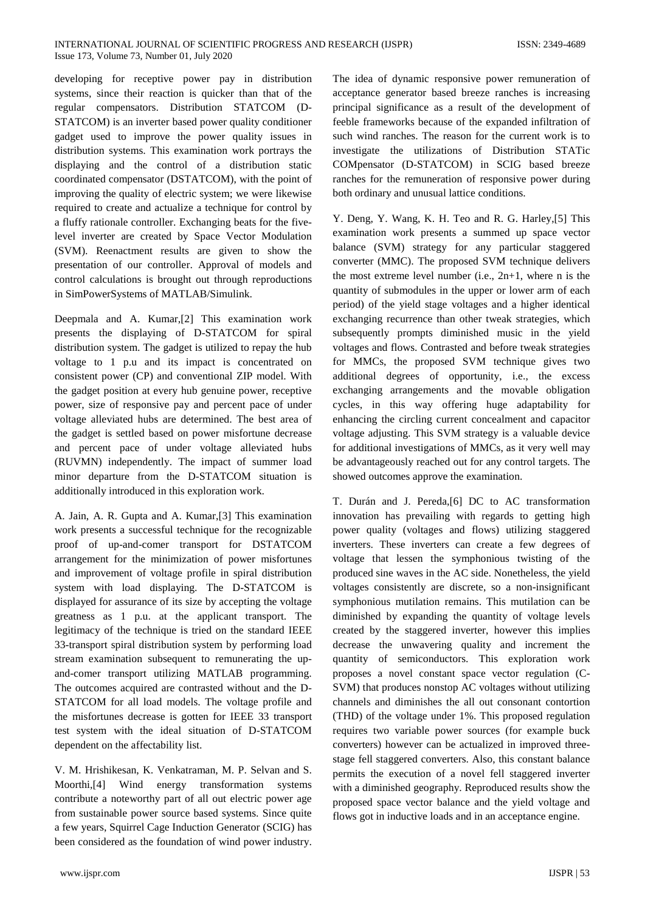developing for receptive power pay in distribution systems, since their reaction is quicker than that of the regular compensators. Distribution STATCOM (D-STATCOM) is an inverter based power quality conditioner gadget used to improve the power quality issues in distribution systems. This examination work portrays the displaying and the control of a distribution static coordinated compensator (DSTATCOM), with the point of improving the quality of electric system; we were likewise required to create and actualize a technique for control by a fluffy rationale controller. Exchanging beats for the fivelevel inverter are created by Space Vector Modulation (SVM). Reenactment results are given to show the presentation of our controller. Approval of models and control calculations is brought out through reproductions in SimPowerSystems of MATLAB/Simulink.

Deepmala and A. Kumar,[2] This examination work presents the displaying of D-STATCOM for spiral distribution system. The gadget is utilized to repay the hub voltage to 1 p.u and its impact is concentrated on consistent power (CP) and conventional ZIP model. With the gadget position at every hub genuine power, receptive power, size of responsive pay and percent pace of under voltage alleviated hubs are determined. The best area of the gadget is settled based on power misfortune decrease and percent pace of under voltage alleviated hubs (RUVMN) independently. The impact of summer load minor departure from the D-STATCOM situation is additionally introduced in this exploration work.

A. Jain, A. R. Gupta and A. Kumar,[3] This examination work presents a successful technique for the recognizable proof of up-and-comer transport for DSTATCOM arrangement for the minimization of power misfortunes and improvement of voltage profile in spiral distribution system with load displaying. The D-STATCOM is displayed for assurance of its size by accepting the voltage greatness as 1 p.u. at the applicant transport. The legitimacy of the technique is tried on the standard IEEE 33-transport spiral distribution system by performing load stream examination subsequent to remunerating the upand-comer transport utilizing MATLAB programming. The outcomes acquired are contrasted without and the D-STATCOM for all load models. The voltage profile and the misfortunes decrease is gotten for IEEE 33 transport test system with the ideal situation of D-STATCOM dependent on the affectability list.

V. M. Hrishikesan, K. Venkatraman, M. P. Selvan and S. Moorthi,[4] Wind energy transformation systems contribute a noteworthy part of all out electric power age from sustainable power source based systems. Since quite a few years, Squirrel Cage Induction Generator (SCIG) has been considered as the foundation of wind power industry.

The idea of dynamic responsive power remuneration of acceptance generator based breeze ranches is increasing principal significance as a result of the development of feeble frameworks because of the expanded infiltration of such wind ranches. The reason for the current work is to investigate the utilizations of Distribution STATic COMpensator (D-STATCOM) in SCIG based breeze ranches for the remuneration of responsive power during both ordinary and unusual lattice conditions.

Y. Deng, Y. Wang, K. H. Teo and R. G. Harley,[5] This examination work presents a summed up space vector balance (SVM) strategy for any particular staggered converter (MMC). The proposed SVM technique delivers the most extreme level number (i.e., 2n+1, where n is the quantity of submodules in the upper or lower arm of each period) of the yield stage voltages and a higher identical exchanging recurrence than other tweak strategies, which subsequently prompts diminished music in the yield voltages and flows. Contrasted and before tweak strategies for MMCs, the proposed SVM technique gives two additional degrees of opportunity, i.e., the excess exchanging arrangements and the movable obligation cycles, in this way offering huge adaptability for enhancing the circling current concealment and capacitor voltage adjusting. This SVM strategy is a valuable device for additional investigations of MMCs, as it very well may be advantageously reached out for any control targets. The showed outcomes approve the examination.

T. Durán and J. Pereda,[6] DC to AC transformation innovation has prevailing with regards to getting high power quality (voltages and flows) utilizing staggered inverters. These inverters can create a few degrees of voltage that lessen the symphonious twisting of the produced sine waves in the AC side. Nonetheless, the yield voltages consistently are discrete, so a non-insignificant symphonious mutilation remains. This mutilation can be diminished by expanding the quantity of voltage levels created by the staggered inverter, however this implies decrease the unwavering quality and increment the quantity of semiconductors. This exploration work proposes a novel constant space vector regulation (C-SVM) that produces nonstop AC voltages without utilizing channels and diminishes the all out consonant contortion (THD) of the voltage under 1%. This proposed regulation requires two variable power sources (for example buck converters) however can be actualized in improved threestage fell staggered converters. Also, this constant balance permits the execution of a novel fell staggered inverter with a diminished geography. Reproduced results show the proposed space vector balance and the yield voltage and flows got in inductive loads and in an acceptance engine.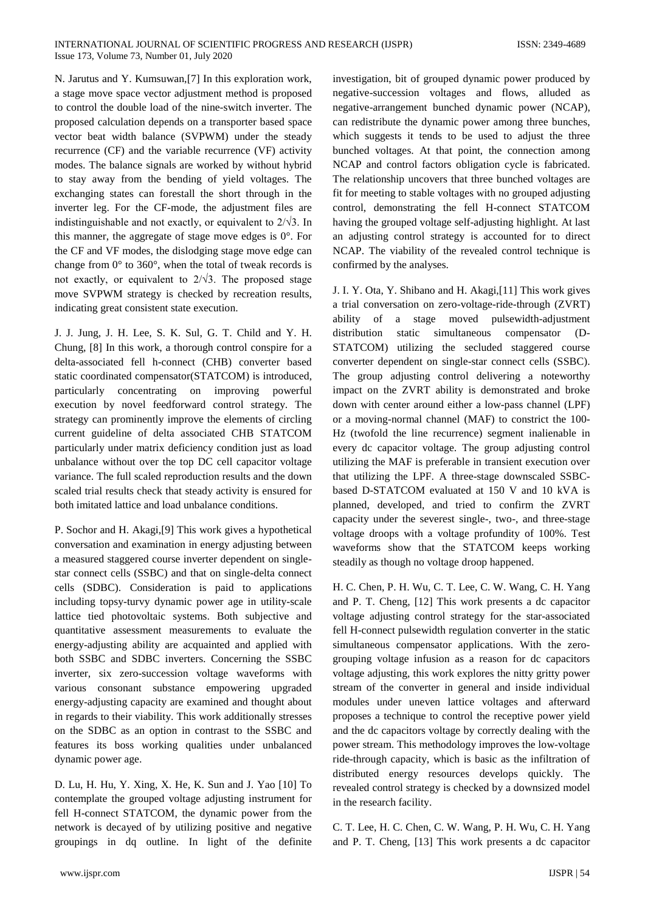N. Jarutus and Y. Kumsuwan,[7] In this exploration work, a stage move space vector adjustment method is proposed to control the double load of the nine-switch inverter. The proposed calculation depends on a transporter based space vector beat width balance (SVPWM) under the steady recurrence (CF) and the variable recurrence (VF) activity modes. The balance signals are worked by without hybrid to stay away from the bending of yield voltages. The exchanging states can forestall the short through in the inverter leg. For the CF-mode, the adjustment files are indistinguishable and not exactly, or equivalent to  $2/\sqrt{3}$ . In this manner, the aggregate of stage move edges is 0°. For the CF and VF modes, the dislodging stage move edge can change from 0° to 360°, when the total of tweak records is not exactly, or equivalent to  $2/\sqrt{3}$ . The proposed stage move SVPWM strategy is checked by recreation results, indicating great consistent state execution.

J. J. Jung, J. H. Lee, S. K. Sul, G. T. Child and Y. H. Chung, [8] In this work, a thorough control conspire for a delta-associated fell h-connect (CHB) converter based static coordinated compensator(STATCOM) is introduced, particularly concentrating on improving powerful execution by novel feedforward control strategy. The strategy can prominently improve the elements of circling current guideline of delta associated CHB STATCOM particularly under matrix deficiency condition just as load unbalance without over the top DC cell capacitor voltage variance. The full scaled reproduction results and the down scaled trial results check that steady activity is ensured for both imitated lattice and load unbalance conditions.

P. Sochor and H. Akagi,[9] This work gives a hypothetical conversation and examination in energy adjusting between a measured staggered course inverter dependent on singlestar connect cells (SSBC) and that on single-delta connect cells (SDBC). Consideration is paid to applications including topsy-turvy dynamic power age in utility-scale lattice tied photovoltaic systems. Both subjective and quantitative assessment measurements to evaluate the energy-adjusting ability are acquainted and applied with both SSBC and SDBC inverters. Concerning the SSBC inverter, six zero-succession voltage waveforms with various consonant substance empowering upgraded energy-adjusting capacity are examined and thought about in regards to their viability. This work additionally stresses on the SDBC as an option in contrast to the SSBC and features its boss working qualities under unbalanced dynamic power age.

D. Lu, H. Hu, Y. Xing, X. He, K. Sun and J. Yao [10] To contemplate the grouped voltage adjusting instrument for fell H-connect STATCOM, the dynamic power from the network is decayed of by utilizing positive and negative groupings in dq outline. In light of the definite

investigation, bit of grouped dynamic power produced by negative-succession voltages and flows, alluded as negative-arrangement bunched dynamic power (NCAP), can redistribute the dynamic power among three bunches, which suggests it tends to be used to adjust the three bunched voltages. At that point, the connection among NCAP and control factors obligation cycle is fabricated. The relationship uncovers that three bunched voltages are fit for meeting to stable voltages with no grouped adjusting control, demonstrating the fell H-connect STATCOM having the grouped voltage self-adjusting highlight. At last an adjusting control strategy is accounted for to direct NCAP. The viability of the revealed control technique is confirmed by the analyses.

J. I. Y. Ota, Y. Shibano and H. Akagi,[11] This work gives a trial conversation on zero-voltage-ride-through (ZVRT) ability of a stage moved pulsewidth-adjustment distribution static simultaneous compensator (D-STATCOM) utilizing the secluded staggered course converter dependent on single-star connect cells (SSBC). The group adjusting control delivering a noteworthy impact on the ZVRT ability is demonstrated and broke down with center around either a low-pass channel (LPF) or a moving-normal channel (MAF) to constrict the 100- Hz (twofold the line recurrence) segment inalienable in every dc capacitor voltage. The group adjusting control utilizing the MAF is preferable in transient execution over that utilizing the LPF. A three-stage downscaled SSBCbased D-STATCOM evaluated at 150 V and 10 kVA is planned, developed, and tried to confirm the ZVRT capacity under the severest single-, two-, and three-stage voltage droops with a voltage profundity of 100%. Test waveforms show that the STATCOM keeps working steadily as though no voltage droop happened.

H. C. Chen, P. H. Wu, C. T. Lee, C. W. Wang, C. H. Yang and P. T. Cheng, [12] This work presents a dc capacitor voltage adjusting control strategy for the star-associated fell H-connect pulsewidth regulation converter in the static simultaneous compensator applications. With the zerogrouping voltage infusion as a reason for dc capacitors voltage adjusting, this work explores the nitty gritty power stream of the converter in general and inside individual modules under uneven lattice voltages and afterward proposes a technique to control the receptive power yield and the dc capacitors voltage by correctly dealing with the power stream. This methodology improves the low-voltage ride-through capacity, which is basic as the infiltration of distributed energy resources develops quickly. The revealed control strategy is checked by a downsized model in the research facility.

C. T. Lee, H. C. Chen, C. W. Wang, P. H. Wu, C. H. Yang and P. T. Cheng, [13] This work presents a dc capacitor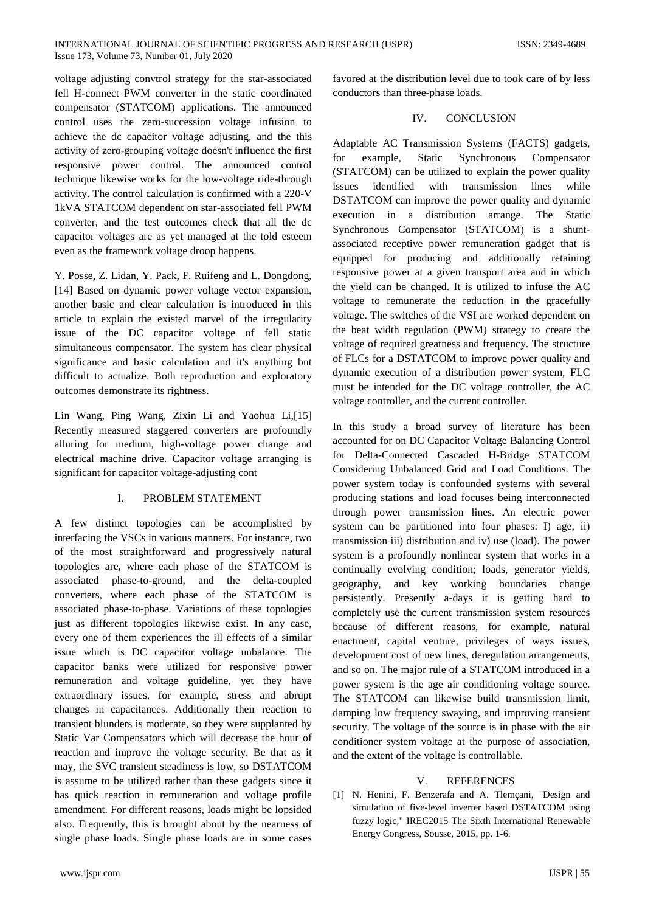voltage adjusting convtrol strategy for the star-associated fell H-connect PWM converter in the static coordinated compensator (STATCOM) applications. The announced control uses the zero-succession voltage infusion to achieve the dc capacitor voltage adjusting, and the this activity of zero-grouping voltage doesn't influence the first responsive power control. The announced control technique likewise works for the low-voltage ride-through activity. The control calculation is confirmed with a 220-V 1kVA STATCOM dependent on star-associated fell PWM converter, and the test outcomes check that all the dc capacitor voltages are as yet managed at the told esteem even as the framework voltage droop happens.

Y. Posse, Z. Lidan, Y. Pack, F. Ruifeng and L. Dongdong, [14] Based on dynamic power voltage vector expansion, another basic and clear calculation is introduced in this article to explain the existed marvel of the irregularity issue of the DC capacitor voltage of fell static simultaneous compensator. The system has clear physical significance and basic calculation and it's anything but difficult to actualize. Both reproduction and exploratory outcomes demonstrate its rightness.

Lin Wang, Ping Wang, Zixin Li and Yaohua Li,[15] Recently measured staggered converters are profoundly alluring for medium, high-voltage power change and electrical machine drive. Capacitor voltage arranging is significant for capacitor voltage-adjusting cont

## I. PROBLEM STATEMENT

A few distinct topologies can be accomplished by interfacing the VSCs in various manners. For instance, two of the most straightforward and progressively natural topologies are, where each phase of the STATCOM is associated phase-to-ground, and the delta-coupled converters, where each phase of the STATCOM is associated phase-to-phase. Variations of these topologies just as different topologies likewise exist. In any case, every one of them experiences the ill effects of a similar issue which is DC capacitor voltage unbalance. The capacitor banks were utilized for responsive power remuneration and voltage guideline, yet they have extraordinary issues, for example, stress and abrupt changes in capacitances. Additionally their reaction to transient blunders is moderate, so they were supplanted by Static Var Compensators which will decrease the hour of reaction and improve the voltage security. Be that as it may, the SVC transient steadiness is low, so DSTATCOM is assume to be utilized rather than these gadgets since it has quick reaction in remuneration and voltage profile amendment. For different reasons, loads might be lopsided also. Frequently, this is brought about by the nearness of single phase loads. Single phase loads are in some cases

favored at the distribution level due to took care of by less conductors than three-phase loads.

#### IV. CONCLUSION

Adaptable AC Transmission Systems (FACTS) gadgets, for example, Static Synchronous Compensator (STATCOM) can be utilized to explain the power quality issues identified with transmission lines while DSTATCOM can improve the power quality and dynamic execution in a distribution arrange. The Static Synchronous Compensator (STATCOM) is a shuntassociated receptive power remuneration gadget that is equipped for producing and additionally retaining responsive power at a given transport area and in which the yield can be changed. It is utilized to infuse the AC voltage to remunerate the reduction in the gracefully voltage. The switches of the VSI are worked dependent on the beat width regulation (PWM) strategy to create the voltage of required greatness and frequency. The structure of FLCs for a DSTATCOM to improve power quality and dynamic execution of a distribution power system, FLC must be intended for the DC voltage controller, the AC voltage controller, and the current controller.

In this study a broad survey of literature has been accounted for on DC Capacitor Voltage Balancing Control for Delta-Connected Cascaded H-Bridge STATCOM Considering Unbalanced Grid and Load Conditions. The power system today is confounded systems with several producing stations and load focuses being interconnected through power transmission lines. An electric power system can be partitioned into four phases: I) age, ii) transmission iii) distribution and iv) use (load). The power system is a profoundly nonlinear system that works in a continually evolving condition; loads, generator yields, geography, and key working boundaries change persistently. Presently a-days it is getting hard to completely use the current transmission system resources because of different reasons, for example, natural enactment, capital venture, privileges of ways issues, development cost of new lines, deregulation arrangements, and so on. The major rule of a STATCOM introduced in a power system is the age air conditioning voltage source. The STATCOM can likewise build transmission limit, damping low frequency swaying, and improving transient security. The voltage of the source is in phase with the air conditioner system voltage at the purpose of association, and the extent of the voltage is controllable.

## V. REFERENCES

[1] N. Henini, F. Benzerafa and A. Tlemçani, "Design and simulation of five-level inverter based DSTATCOM using fuzzy logic," IREC2015 The Sixth International Renewable Energy Congress, Sousse, 2015, pp. 1-6.